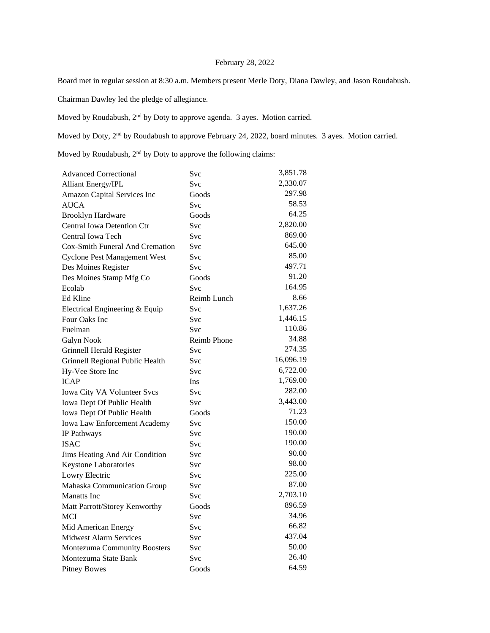## February 28, 2022

Board met in regular session at 8:30 a.m. Members present Merle Doty, Diana Dawley, and Jason Roudabush.

Chairman Dawley led the pledge of allegiance.

Moved by Roudabush, 2nd by Doty to approve agenda. 3 ayes. Motion carried.

Moved by Doty, 2<sup>nd</sup> by Roudabush to approve February 24, 2022, board minutes. 3 ayes. Motion carried.

Moved by Roudabush,  $2<sup>nd</sup>$  by Doty to approve the following claims:

| <b>Advanced Correctional</b>        | Svc                | 3,851.78  |
|-------------------------------------|--------------------|-----------|
| <b>Alliant Energy/IPL</b>           | Svc                | 2,330.07  |
| Amazon Capital Services Inc         | Goods              | 297.98    |
| <b>AUCA</b>                         | Svc                | 58.53     |
| <b>Brooklyn Hardware</b>            | Goods              | 64.25     |
| Central Iowa Detention Ctr          | Svc                | 2,820.00  |
| Central Iowa Tech                   | Svc                | 869.00    |
| Cox-Smith Funeral And Cremation     | Svc                | 645.00    |
| <b>Cyclone Pest Management West</b> | Svc                | 85.00     |
| Des Moines Register                 | Svc                | 497.71    |
| Des Moines Stamp Mfg Co             | Goods              | 91.20     |
| Ecolab                              | Svc                | 164.95    |
| Ed Kline                            | Reimb Lunch        | 8.66      |
| Electrical Engineering & Equip      | Svc                | 1,637.26  |
| Four Oaks Inc                       | Svc                | 1,446.15  |
| Fuelman                             | Svc                | 110.86    |
| Galyn Nook                          | <b>Reimb Phone</b> | 34.88     |
| Grinnell Herald Register            | Svc                | 274.35    |
| Grinnell Regional Public Health     | Svc                | 16,096.19 |
| Hy-Vee Store Inc                    | Svc                | 6,722.00  |
| <b>ICAP</b>                         | Ins                | 1,769.00  |
| Iowa City VA Volunteer Svcs         | <b>Svc</b>         | 282.00    |
| Iowa Dept Of Public Health          | Svc                | 3,443.00  |
| Iowa Dept Of Public Health          | Goods              | 71.23     |
| Iowa Law Enforcement Academy        | Svc                | 150.00    |
| IP Pathways                         | <b>Svc</b>         | 190.00    |
| <b>ISAC</b>                         | Svc                | 190.00    |
| Jims Heating And Air Condition      | Svc                | 90.00     |
| Keystone Laboratories               | Svc                | 98.00     |
| Lowry Electric                      | Svc                | 225.00    |
| Mahaska Communication Group         | Svc                | 87.00     |
| <b>Manatts</b> Inc                  | Svc                | 2,703.10  |
| Matt Parrott/Storey Kenworthy       | Goods              | 896.59    |
| <b>MCI</b>                          | Svc                | 34.96     |
| Mid American Energy                 | Svc                | 66.82     |
| <b>Midwest Alarm Services</b>       | Svc                | 437.04    |
| Montezuma Community Boosters        | Svc                | 50.00     |
| Montezuma State Bank                | Svc                | 26.40     |
| <b>Pitney Bowes</b>                 | Goods              | 64.59     |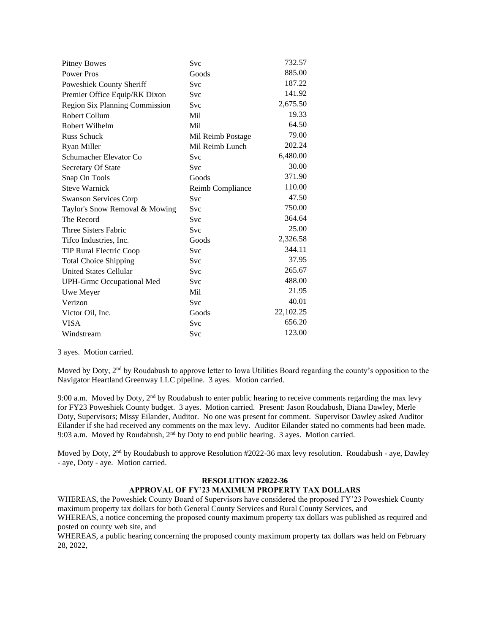| <b>Pitney Bowes</b>                   | Svc               | 732.57    |
|---------------------------------------|-------------------|-----------|
| <b>Power Pros</b>                     | Goods             | 885.00    |
| Poweshiek County Sheriff              | Svc               | 187.22    |
| Premier Office Equip/RK Dixon         | Svc               | 141.92    |
| <b>Region Six Planning Commission</b> | Svc               | 2,675.50  |
| Robert Collum                         | Mil               | 19.33     |
| Robert Wilhelm                        | Mil               | 64.50     |
| <b>Russ Schuck</b>                    | Mil Reimb Postage | 79.00     |
| Ryan Miller                           | Mil Reimb Lunch   | 202.24    |
| Schumacher Elevator Co                | Svc               | 6,480.00  |
| Secretary Of State                    | Svc               | 30.00     |
| Snap On Tools                         | Goods             | 371.90    |
| <b>Steve Warnick</b>                  | Reimb Compliance  | 110.00    |
| <b>Swanson Services Corp</b>          | Svc               | 47.50     |
| Taylor's Snow Removal & Mowing        | Svc               | 750.00    |
| The Record                            | Svc               | 364.64    |
| Three Sisters Fabric                  | Svc               | 25.00     |
| Tifco Industries, Inc.                | Goods             | 2,326.58  |
| TIP Rural Electric Coop               | Svc               | 344.11    |
| <b>Total Choice Shipping</b>          | Svc               | 37.95     |
| <b>United States Cellular</b>         | Svc               | 265.67    |
| <b>UPH-Grmc Occupational Med</b>      | Svc               | 488.00    |
| Uwe Meyer                             | Mil               | 21.95     |
| Verizon                               | Svc               | 40.01     |
| Victor Oil, Inc.                      | Goods             | 22,102.25 |
| <b>VISA</b>                           | Svc               | 656.20    |
| Windstream                            | Svc               | 123.00    |

3 ayes. Motion carried.

Moved by Doty, 2<sup>nd</sup> by Roudabush to approve letter to Iowa Utilities Board regarding the county's opposition to the Navigator Heartland Greenway LLC pipeline. 3 ayes. Motion carried.

9:00 a.m. Moved by Doty,  $2<sup>nd</sup>$  by Roudabush to enter public hearing to receive comments regarding the max levy for FY23 Poweshiek County budget. 3 ayes. Motion carried. Present: Jason Roudabush, Diana Dawley, Merle Doty, Supervisors; Missy Eilander, Auditor. No one was present for comment. Supervisor Dawley asked Auditor Eilander if she had received any comments on the max levy. Auditor Eilander stated no comments had been made. 9:03 a.m. Moved by Roudabush, 2nd by Doty to end public hearing. 3 ayes. Motion carried.

Moved by Doty, 2nd by Roudabush to approve Resolution #2022-36 max levy resolution. Roudabush - aye, Dawley - aye, Doty - aye. Motion carried.

## **RESOLUTION #2022-36 APPROVAL OF FY'23 MAXIMUM PROPERTY TAX DOLLARS**

WHEREAS, the Poweshiek County Board of Supervisors have considered the proposed FY'23 Poweshiek County maximum property tax dollars for both General County Services and Rural County Services, and WHEREAS, a notice concerning the proposed county maximum property tax dollars was published as required and posted on county web site, and

WHEREAS, a public hearing concerning the proposed county maximum property tax dollars was held on February 28, 2022,